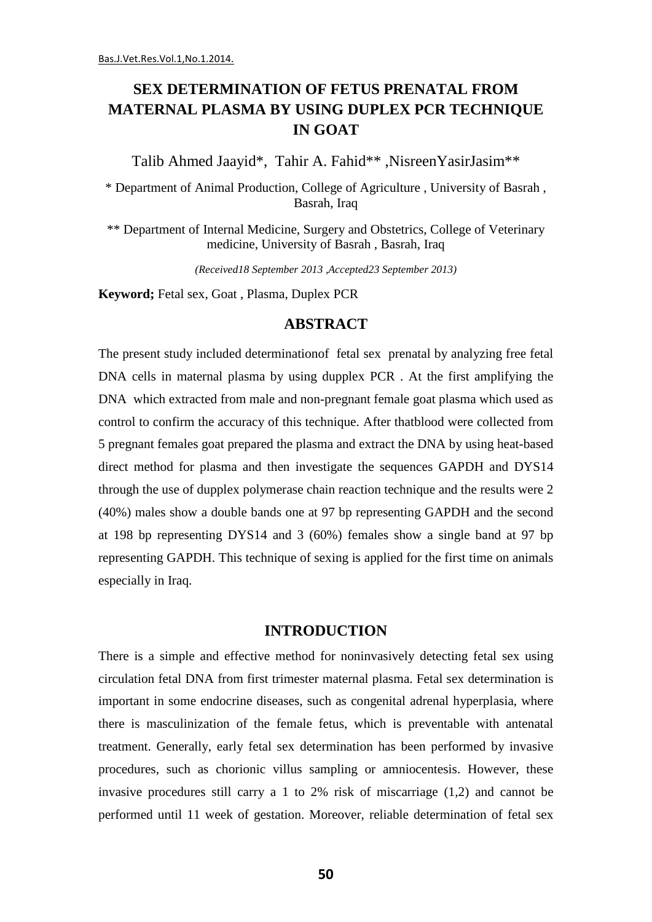## **SEX DETERMINATION OF FETUS PRENATAL FROM MATERNAL PLASMA BY USING DUPLEX PCR TECHNIQUE IN GOAT**

Talib Ahmed Jaayid\*, Tahir A. Fahid\*\*, NisreenYasirJasim\*\*

\* Department of Animal Production, College of Agriculture , University of Basrah , Basrah, Iraq

\*\* Department of Internal Medicine, Surgery and Obstetrics, College of Veterinary medicine, University of Basrah, Basrah, Iraq

*(Received18 September 2013 ,Accepted23 September 2013)*

**Keyword;** Fetal sex, Goat , Plasma, Duplex PCR

## **ABSTRACT**

The present study included determinationof fetal sex prenatal by analyzing free fetal DNA cells in maternal plasma by using dupplex PCR . At the first amplifying the DNA which extracted from male and non-pregnant female goat plasma which used as control to confirm the accuracy of this technique. After thatblood were collected from 5 pregnant females goat prepared the plasma and extract the DNA by using heat-based direct method for plasma and then investigate the sequences GAPDH and DYS14 through the use of dupplex polymerase chain reaction technique and the results were 2 (40%) males show a double bands one at 97 bp representing GAPDH and the second at 198 bp representing DYS14 and 3 (60%) females show a single band at 97 bp representing GAPDH. This technique of sexing is applied for the first time on animals especially in Iraq.

## **INTRODUCTION**

There is a simple and effective method for noninvasively detecting fetal sex using circulation fetal DNA from first trimester maternal plasma. Fetal sex determination is important in some endocrine diseases, such as congenital adrenal hyperplasia, where there is masculinization of the female fetus, which is preventable with antenatal treatment. Generally, early fetal sex determination has been performed by invasive procedures, such as chorionic villus sampling or amniocentesis. However, these invasive procedures still carry a 1 to 2% risk of miscarriage (1,2) and cannot be performed until 11 week of gestation. Moreover, reliable determination of fetal sex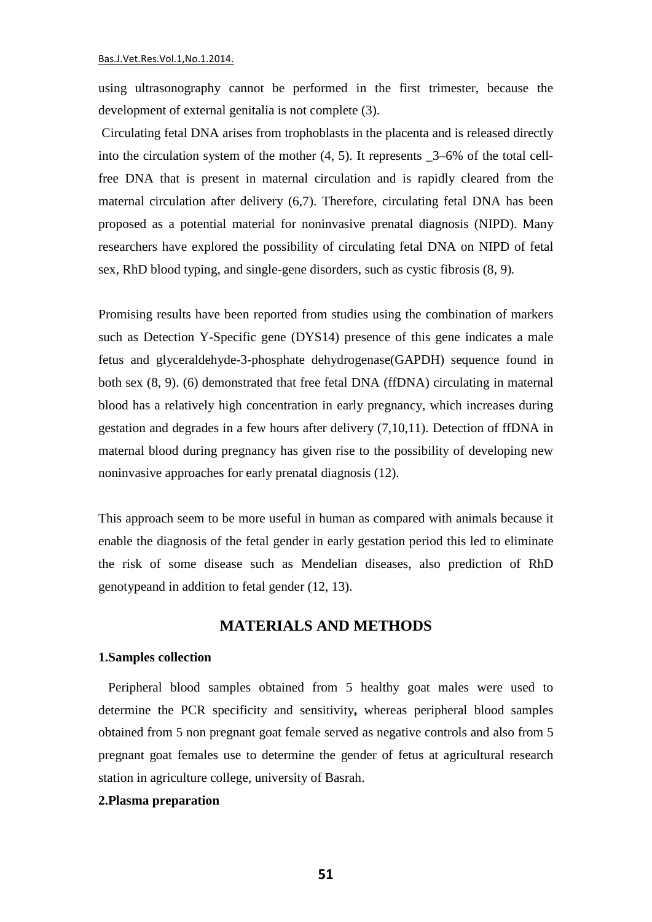using ultrasonography cannot be performed in the first trimester, because the development of external genitalia is not complete (3).

Circulating fetal DNA arises from trophoblasts in the placenta and is released directly into the circulation system of the mother (4, 5). It represents \_3–6% of the total cellfree DNA that is present in maternal circulation and is rapidly cleared from the maternal circulation after delivery (6,7). Therefore, circulating fetal DNA has been proposed as a potential material for noninvasive prenatal diagnosis (NIPD). Many researchers have explored the possibility of circulating fetal DNA on NIPD of fetal sex, RhD blood typing, and single-gene disorders, such as cystic fibrosis (8, 9)*.*

Promising results have been reported from studies using the combination of markers such as Detection Y-Specific gene (DYS14) presence of this gene indicates a male fetus and glyceraldehyde-3-phosphate dehydrogenase(GAPDH) sequence found in both sex (8, 9). (6) demonstrated that free fetal DNA (ffDNA) circulating in maternal blood has a relatively high concentration in early pregnancy, which increases during gestation and degrades in a few hours after delivery (7,10,11). Detection of ffDNA in maternal blood during pregnancy has given rise to the possibility of developing new noninvasive approaches for early prenatal diagnosis (12).

This approach seem to be more useful in human as compared with animals because it enable the diagnosis of the fetal gender in early gestation period this led to eliminate the risk of some disease such as Mendelian diseases, also prediction of RhD genotypeand in addition to fetal gender (12, 13).

## **MATERIALS AND METHODS**

#### **1.Samples collection**

 Peripheral blood samples obtained from 5 healthy goat males were used to determine the PCR specificity and sensitivity**,** whereas peripheral blood samples obtained from 5 non pregnant goat female served as negative controls and also from 5 pregnant goat females use to determine the gender of fetus at agricultural research station in agriculture college, university of Basrah.

#### **2.Plasma preparation**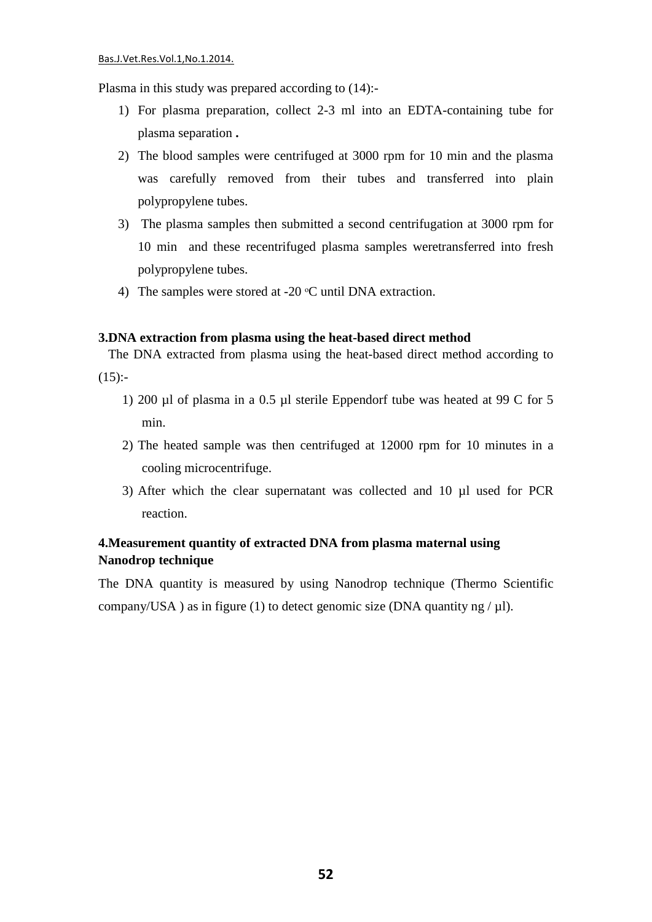Plasma in this study was prepared according to (14):-

- 1) For plasma preparation, collect 2-3 ml into an EDTA-containing tube for plasma separation **.**
- 2) The blood samples were centrifuged at 3000 rpm for 10 min and the plasma was carefully removed from their tubes and transferred into plain polypropylene tubes.
- 3) The plasma samples then submitted a second centrifugation at 3000 rpm for 10 min and these recentrifuged plasma samples weretransferred into fresh polypropylene tubes.
- 4) The samples were stored at -20  $\degree$ C until DNA extraction.

#### **3.DNA extraction from plasma using the heat-based direct method**

 The DNA extracted from plasma using the heat-based direct method according to  $(15)$ :-

- 1) 200 µl of plasma in a 0.5 µl sterile Eppendorf tube was heated at 99 C for 5 min.
- 2) The heated sample was then centrifuged at 12000 rpm for 10 minutes in a cooling microcentrifuge.
- 3) After which the clear supernatant was collected and 10 µl used for PCR reaction.

## **4.Measurement quantity of extracted DNA from plasma maternal using Nanodrop technique**

The DNA quantity is measured by using Nanodrop technique (Thermo Scientific company/USA ) as in figure (1) to detect genomic size (DNA quantity ng /  $\mu$ l).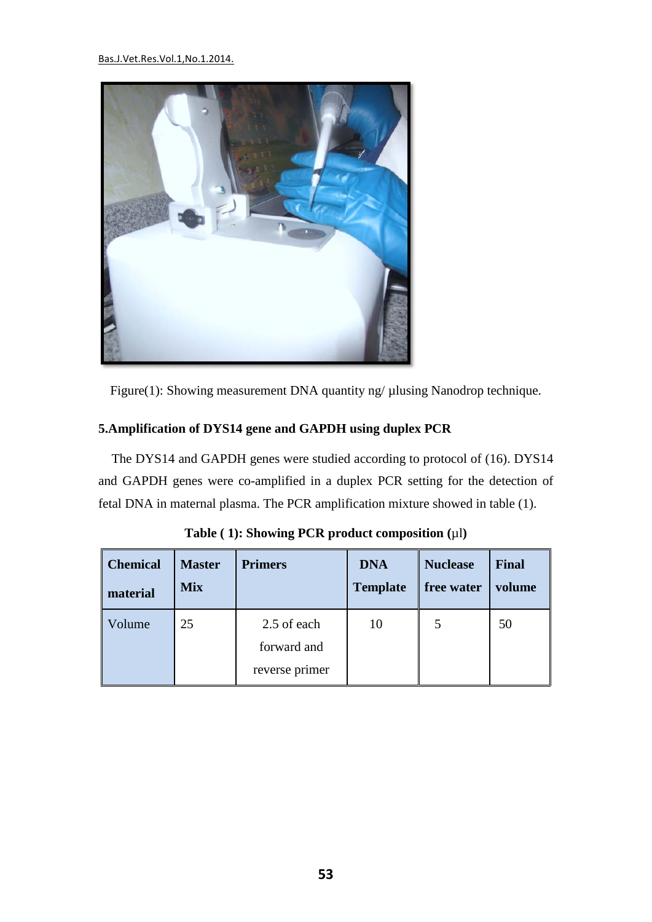#### Bas.J.Vet.Res.Vol.1,No.1.2014.



Figure(1): Showing measurement DNA quantity ng/ µlusing Nanodrop technique.

## **5.Amplification of DYS14 gene and GAPDH using duplex PCR**

 The DYS14 and GAPDH genes were studied according to protocol of (16). DYS14 and GAPDH genes were co-amplified in a duplex PCR setting for the detection of fetal DNA in maternal plasma. The PCR amplification mixture showed in table (1).

| <b>Chemical</b> | <b>Master</b> | <b>Primers</b>                               | <b>DNA</b>      | <b>Nuclease</b> | <b>Final</b> |
|-----------------|---------------|----------------------------------------------|-----------------|-----------------|--------------|
| material        | <b>Mix</b>    |                                              | <b>Template</b> | free water      | volume       |
| Volume          | 25            | 2.5 of each<br>forward and<br>reverse primer | 10              |                 | 50           |

**Table ( 1): Showing PCR product composition (**µl**)**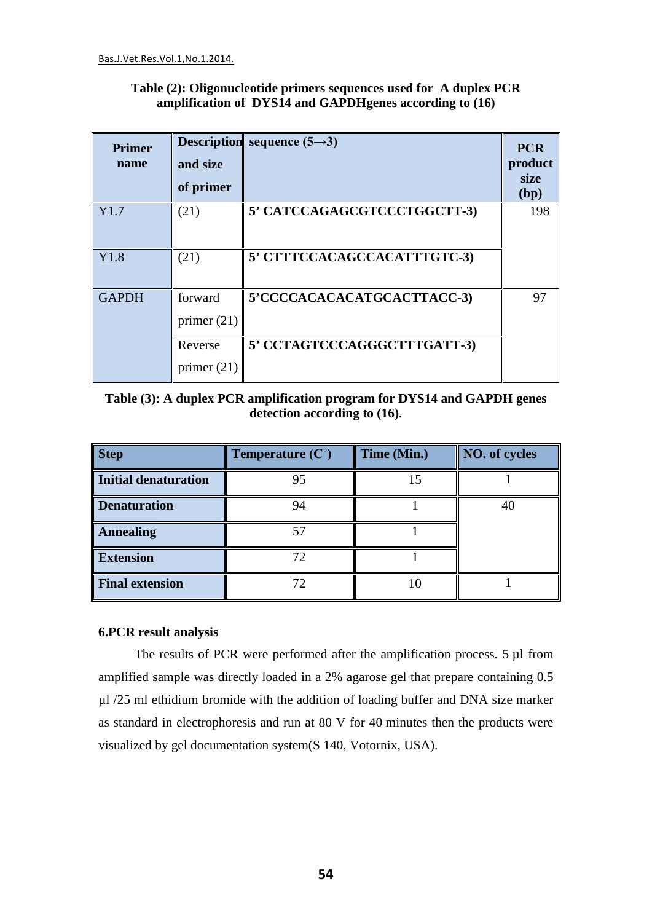| Table (2): Oligonucleotide primers sequences used for A duplex PCR |  |
|--------------------------------------------------------------------|--|
| amplification of DYS14 and GAPDH genes according to (16)           |  |

| <b>Primer</b><br>name | and size      | <b>Description</b> sequence $(5\rightarrow 3)$ | <b>PCR</b><br>product |
|-----------------------|---------------|------------------------------------------------|-----------------------|
|                       | of primer     |                                                | size<br>(bp)          |
| Y1.7                  | (21)          | 5' CATCCAGAGCGTCCCTGGCTT-3)                    | 198                   |
| Y1.8                  | (21)          | 5' CTTTCCACAGCCACATTTGTC-3)                    |                       |
| <b>GAPDH</b>          | forward       | 5'CCCCACACACATGCACTTACC-3)                     | 97                    |
|                       | primer $(21)$ |                                                |                       |
|                       | Reverse       | 5' CCTAGTCCCAGGGCTTTGATT-3)                    |                       |
|                       | primer $(21)$ |                                                |                       |

**Table (3): A duplex PCR amplification program for DYS14 and GAPDH genes detection according to (16).**

| <b>Step</b>            | Temperature $(C^{\circ})$ | Time (Min.) | NO. of cycles |
|------------------------|---------------------------|-------------|---------------|
| Initial denaturation   | 95                        | 15          |               |
| <b>Denaturation</b>    |                           |             | 40            |
| <b>Annealing</b>       |                           |             |               |
| <b>Extension</b>       |                           |             |               |
| <b>Final extension</b> |                           |             |               |

## **6.PCR result analysis**

The results of PCR were performed after the amplification process. 5 µl from amplified sample was directly loaded in a 2% agarose gel that prepare containing 0.5 µl /25 ml ethidium bromide with the addition of loading buffer and DNA size marker as standard in electrophoresis and run at 80 V for 40 minutes then the products were visualized by gel documentation system(S 140, Votornix, USA).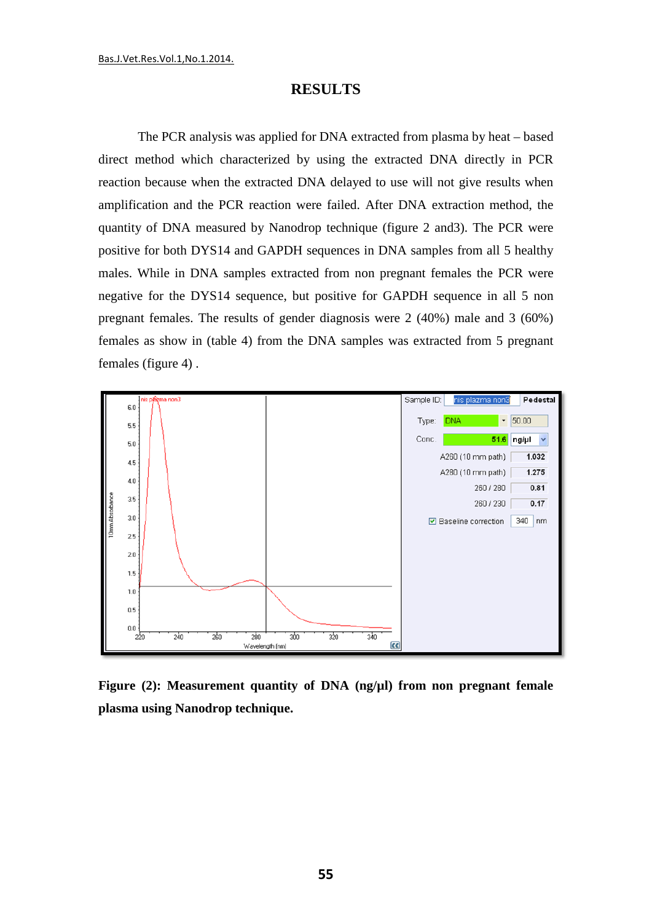## **RESULTS**

The PCR analysis was applied for DNA extracted from plasma by heat – based direct method which characterized by using the extracted DNA directly in PCR reaction because when the extracted DNA delayed to use will not give results when amplification and the PCR reaction were failed. After DNA extraction method, the quantity of DNA measured by Nanodrop technique (figure 2 and3). The PCR were positive for both DYS14 and GAPDH sequences in DNA samples from all 5 healthy males. While in DNA samples extracted from non pregnant females the PCR were negative for the DYS14 sequence, but positive for GAPDH sequence in all 5 non pregnant females. The results of gender diagnosis were 2 (40%) male and 3 (60%) females as show in (table 4) from the DNA samples was extracted from 5 pregnant females (figure 4) .



**Figure (2): Measurement quantity of DNA (ng/µl) from non pregnant female plasma using Nanodrop technique.**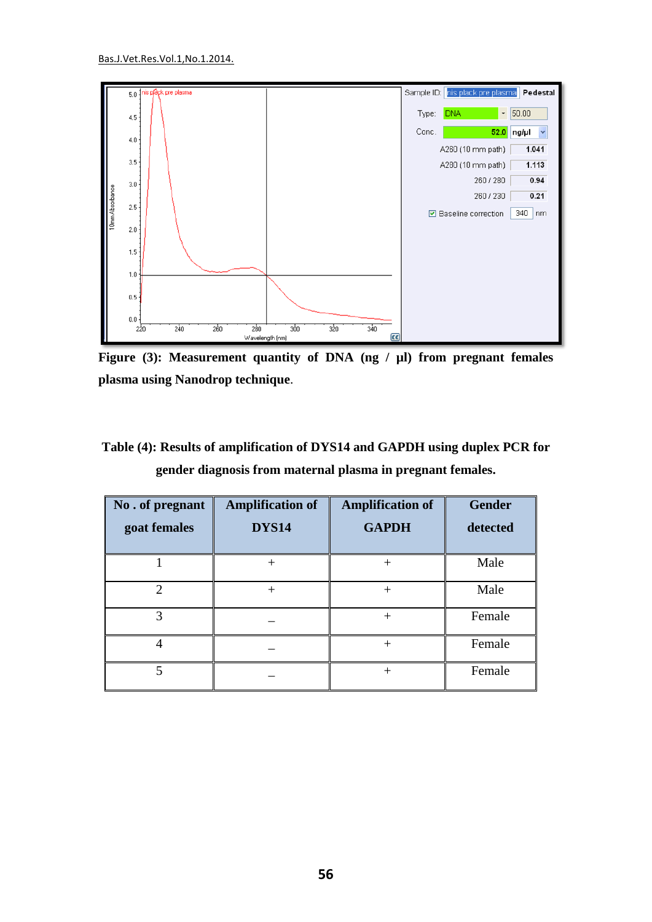

**Figure (3): Measurement quantity of DNA (ng / µl) from pregnant females plasma using Nanodrop technique**.

**Table (4): Results of amplification of DYS14 and GAPDH using duplex PCR for gender diagnosis from maternal plasma in pregnant females.**

| No. of pregnant<br>goat females | <b>Amplification of</b><br><b>DYS14</b> | <b>Amplification of</b><br><b>GAPDH</b> | <b>Gender</b><br>detected |
|---------------------------------|-----------------------------------------|-----------------------------------------|---------------------------|
|                                 | $^{+}$                                  | $^{+}$                                  | Male                      |
| $\mathcal{D}$                   | $^{+}$                                  | $^{+}$                                  | Male                      |
| 3                               |                                         | $\pm$                                   | Female                    |
|                                 |                                         |                                         | Female                    |
| 5                               |                                         | $^{+}$                                  | Female                    |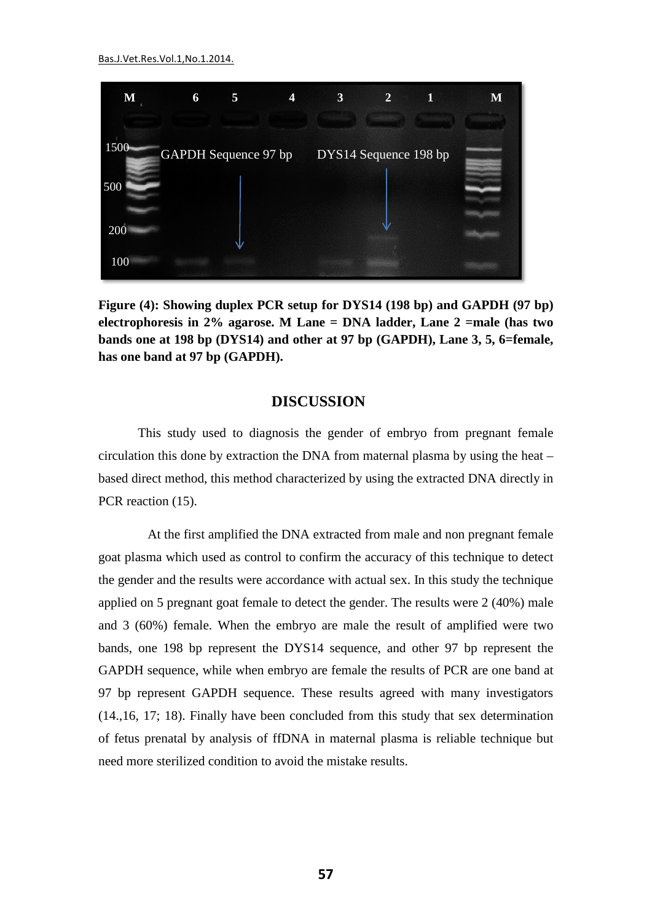Bas.J.Vet.Res.Vol.1,No.1.2014.



**Figure (4): Showing duplex PCR setup for DYS14 (198 bp) and GAPDH (97 bp) electrophoresis in 2% agarose. M Lane = DNA ladder, Lane 2 =male (has two bands one at 198 bp (DYS14) and other at 97 bp (GAPDH), Lane 3, 5, 6=female, has one band at 97 bp (GAPDH).** 

## **DISCUSSION**

This study used to diagnosis the gender of embryo from pregnant female circulation this done by extraction the DNA from maternal plasma by using the heat – based direct method, this method characterized by using the extracted DNA directly in PCR reaction  $(15)$ .

 At the first amplified the DNA extracted from male and non pregnant female goat plasma which used as control to confirm the accuracy of this technique to detect the gender and the results were accordance with actual sex. In this study the technique applied on 5 pregnant goat female to detect the gender. The results were 2 (40%) male and 3 (60%) female. When the embryo are male the result of amplified were two bands, one 198 bp represent the DYS14 sequence, and other 97 bp represent the GAPDH sequence, while when embryo are female the results of PCR are one band at 97 bp represent GAPDH sequence. These results agreed with many investigators (14.,16, 17; 18). Finally have been concluded from this study that sex determination of fetus prenatal by analysis of ffDNA in maternal plasma is reliable technique but need more sterilized condition to avoid the mistake results.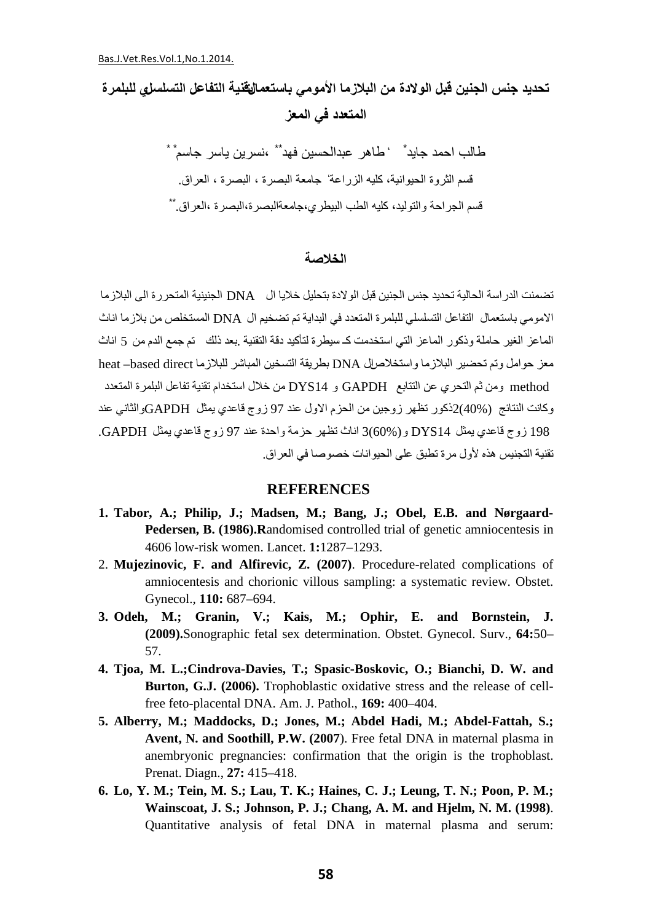# **تحدید جنس الجنین قبل الولادة من البلازما الأمومي باستعمالتقنیة التفاعل التسلسلي للبلمرة المتعدد في المعز**

طالب احمد جاید \* ` طاهر عبدالحسین فهد \*\* ،نسرین یاسر جاسم \* \* قسم الثروة الحيوانية، كليه الزراعة' جامعة البصرة ، البصرة ، العراق. \*\* قسم الجراحة والتولید، كلیھ الطب البیطري،جامعةالبصرة،البصرة ،العراق.

#### **الخلاصة**

تضمنت الدراسة الحالیة تحدید جنس الجنین قبل الولادة بتحلیل خلایا ال DNA الجنینیة المتحررة الى البلازما الامومي باستعمال التفاعل التسلسلي للبلمرة المتعدد في البدایة تم تضخیم ال DNA المستخلص من بلازما اناث الماعز الغیر حاملة وذكور الماعز التي استخدمت كـ سیطرة لتأكید دقة التقنیة .بعد ذلك تم جمع الدم من 5 اناث معز حوامل وتم تحضیر البلازما واستخلاصال DNA بطریقة التسخین المباشر للبلازما direct based –heat method ومن ثم التحري عن التتابع GAPDH و 14DYS من خلال استخدام تقنیة تفاعل البلمرة المتعدد وكانت النتائج (40%)2ذكور تظھر زوجین من الحزم الاول عند 97 زوج قاعدي یمثل GAPDHوالثاني عند 198 زوج قاعدي یمثل 14DYS و(60%)3 اناث تظھر حزمة واحدة عند 97 زوج قاعدي یمثل GAPDH. تقنیة التجنیس ھذه لأول مرة تطبق على الحیوانات خصوصا في العراق.

## **REFERENCES**

- **1. Tabor, A.; Philip, J.; Madsen, M.; Bang, J.; Obel, E.B. and Nørgaard-Pedersen, B. (1986).R**andomised controlled trial of genetic amniocentesis in 4606 low-risk women. Lancet. **1:**1287–1293.
- 2. **Mujezinovic, F. and Alfirevic, Z. (2007)**. Procedure-related complications of amniocentesis and chorionic villous sampling: a systematic review. Obstet. Gynecol., **110:** 687–694.
- **3. Odeh, M.; Granin, V.; Kais, M.; Ophir, E. and Bornstein, J. (2009).**Sonographic fetal sex determination. Obstet. Gynecol. Surv., **64:**50– 57.
- **4. Tjoa, M. L.;Cindrova-Davies, T.; Spasic-Boskovic, O.; Bianchi, D. W. and Burton, G.J. (2006).** Trophoblastic oxidative stress and the release of cellfree feto-placental DNA. Am. J. Pathol., **169:** 400–404.
- **5. Alberry, M.; Maddocks, D.; Jones, M.; Abdel Hadi, M.; Abdel-Fattah, S.; Avent, N. and Soothill, P.W. (2007**). Free fetal DNA in maternal plasma in anembryonic pregnancies: confirmation that the origin is the trophoblast. Prenat. Diagn., **27:** 415–418.
- **6. Lo, Y. M.; Tein, M. S.; Lau, T. K.; Haines, C. J.; Leung, T. N.; Poon, P. M.; Wainscoat, J. S.; Johnson, P. J.; Chang, A. M. and Hjelm, N. M. (1998)**. Quantitative analysis of fetal DNA in maternal plasma and serum: